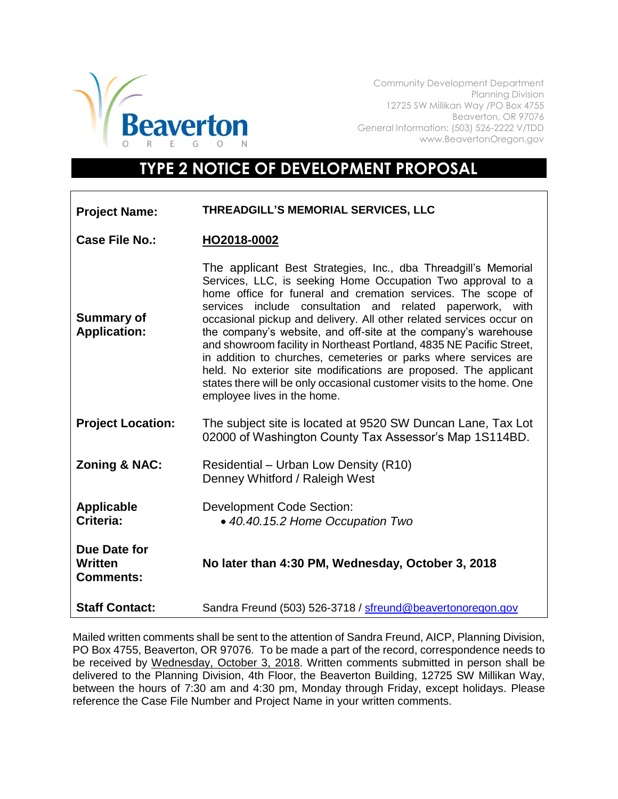

Community Development Department Planning Division 12725 SW Millikan Way /PO Box 4755 Beaverton, OR 97076 General Information: (503) 526-2222 V/TDD www.BeavertonOregon.gov

## **TYPE 2 NOTICE OF DEVELOPMENT PROPOSAL**

| <b>Project Name:</b>                               | THREADGILL'S MEMORIAL SERVICES, LLC                                                                                                                                                                                                                                                                                                                                                                                                                                                                                                                                                                                                                                                                                        |
|----------------------------------------------------|----------------------------------------------------------------------------------------------------------------------------------------------------------------------------------------------------------------------------------------------------------------------------------------------------------------------------------------------------------------------------------------------------------------------------------------------------------------------------------------------------------------------------------------------------------------------------------------------------------------------------------------------------------------------------------------------------------------------------|
| Case File No.:                                     | HO2018-0002                                                                                                                                                                                                                                                                                                                                                                                                                                                                                                                                                                                                                                                                                                                |
| <b>Summary of</b><br><b>Application:</b>           | The applicant Best Strategies, Inc., dba Threadgill's Memorial<br>Services, LLC, is seeking Home Occupation Two approval to a<br>home office for funeral and cremation services. The scope of<br>services include consultation and related paperwork, with<br>occasional pickup and delivery. All other related services occur on<br>the company's website, and off-site at the company's warehouse<br>and showroom facility in Northeast Portland, 4835 NE Pacific Street,<br>in addition to churches, cemeteries or parks where services are<br>held. No exterior site modifications are proposed. The applicant<br>states there will be only occasional customer visits to the home. One<br>employee lives in the home. |
| <b>Project Location:</b>                           | The subject site is located at 9520 SW Duncan Lane, Tax Lot<br>02000 of Washington County Tax Assessor's Map 1S114BD.                                                                                                                                                                                                                                                                                                                                                                                                                                                                                                                                                                                                      |
| <b>Zoning &amp; NAC:</b>                           | Residential – Urban Low Density (R10)<br>Denney Whitford / Raleigh West                                                                                                                                                                                                                                                                                                                                                                                                                                                                                                                                                                                                                                                    |
| <b>Applicable</b><br>Criteria:                     | <b>Development Code Section:</b><br>• 40.40.15.2 Home Occupation Two                                                                                                                                                                                                                                                                                                                                                                                                                                                                                                                                                                                                                                                       |
| Due Date for<br><b>Written</b><br><b>Comments:</b> | No later than 4:30 PM, Wednesday, October 3, 2018                                                                                                                                                                                                                                                                                                                                                                                                                                                                                                                                                                                                                                                                          |
| <b>Staff Contact:</b>                              | Sandra Freund (503) 526-3718 / sfreund@beavertonoregon.gov                                                                                                                                                                                                                                                                                                                                                                                                                                                                                                                                                                                                                                                                 |

Mailed written comments shall be sent to the attention of Sandra Freund, AICP, Planning Division, PO Box 4755, Beaverton, OR 97076. To be made a part of the record, correspondence needs to be received by Wednesday, October 3, 2018. Written comments submitted in person shall be delivered to the Planning Division, 4th Floor, the Beaverton Building, 12725 SW Millikan Way, between the hours of 7:30 am and 4:30 pm, Monday through Friday, except holidays. Please reference the Case File Number and Project Name in your written comments.